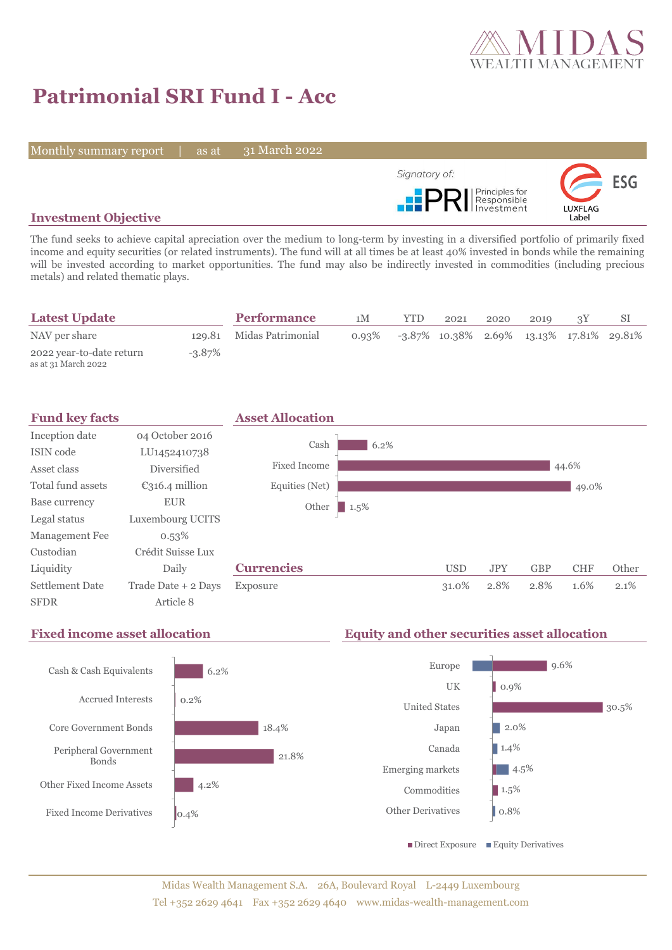

# **Patrimonial SRI Fund I - Acc**

Monthly summary report | as at

31 March 2022



## **Investment Objective**

The fund seeks to achieve capital apreciation over the medium to long-term by investing in a diversified portfolio of primarily fixed income and equity securities (or related instruments). The fund will at all times be at least 40% invested in bonds while the remaining will be invested according to market opportunities. The fund may also be indirectly invested in commodities (including precious metals) and related thematic plays.

| <b>Latest Update</b>                            |           | <b>Performance</b>       | 1М | <b>YTD</b> | 2021                                                    | 2020 | 2010 |  |
|-------------------------------------------------|-----------|--------------------------|----|------------|---------------------------------------------------------|------|------|--|
| NAV per share                                   |           | 129.81 Midas Patrimonial |    |            | $0.93\%$ -3.87\% 10.38\% 2.69\% 13.13\% 17.81\% 29.81\% |      |      |  |
| 2022 year-to-date return<br>as at 31 March 2022 | $-3.87\%$ |                          |    |            |                                                         |      |      |  |





## **Fixed income asset allocation Equity and other securities asset allocation**

0.9%

2.0% 1.4%

 $\blacksquare$  4.5%  $1.5%$ 0.8%

9.6%

30.5%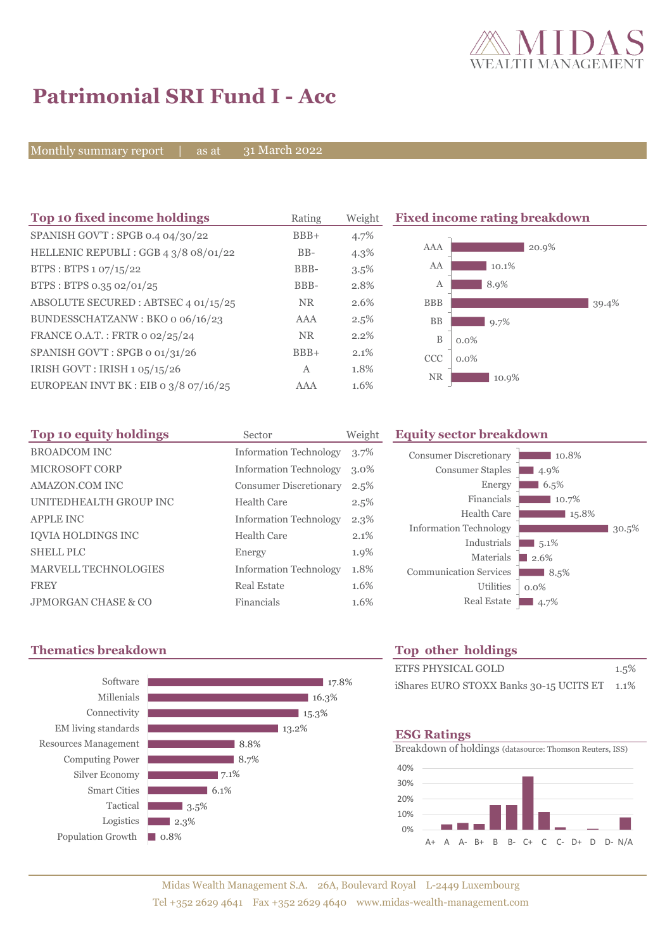

# **Patrimonial SRI Fund I - Acc**

Monthly summary report | as at

31 March 2022

| Top 10 fixed income holdings            | Rating       | Weight  | <b>Fixed income rating breakdown</b> |  |  |
|-----------------------------------------|--------------|---------|--------------------------------------|--|--|
| SPANISH GOV'T: SPGB 0.4 04/30/22        | $BBB+$       | 4.7%    |                                      |  |  |
| HELLENIC REPUBLI : GGB 4 3/8 08/01/22   | $BB-$        | $4.3\%$ | AAA<br>20.9%                         |  |  |
| BTPS : BTPS $1.07/15/22$                | BBB-         | 3.5%    | AA<br>10.1%                          |  |  |
| BTPS: BTPS 0.35 02/01/25                | BBB-         | 2.8%    | 8.9%<br>А                            |  |  |
| ABSOLUTE SECURED: ABTSEC 4 01/15/25     | NR.          | 2.6%    | <b>BBB</b><br>39.4%                  |  |  |
| BUNDESSCHATZANW: BKO 0 06/16/23         | AAA          | $2.5\%$ | BB<br>9.7%                           |  |  |
| FRANCE O.A.T.: FRTR 0 02/25/24          | <b>NR</b>    | 2.2%    | B<br>$0.0\%$                         |  |  |
| SPANISH GOV'T: SPGB o 01/31/26          | $BBB+$       | 2.1%    | <b>CCC</b><br>$0.0\%$                |  |  |
| IRISH GOVT : IRISH $1.05/15/26$         | $\mathbf{A}$ | 1.8%    | <b>NR</b>                            |  |  |
| EUROPEAN INVT BK : EIB o $3/8$ o7/16/25 | <b>AAA</b>   | 1.6%    | 10.9%                                |  |  |

| Top 10 equity holdings         | Sector                        | Weight  |
|--------------------------------|-------------------------------|---------|
| <b>BROADCOM INC</b>            | <b>Information Technology</b> | $3.7\%$ |
| <b>MICROSOFT CORP</b>          | <b>Information Technology</b> | $3.0\%$ |
| AMAZON.COM INC                 | <b>Consumer Discretionary</b> | 2.5%    |
| UNITEDHEALTH GROUP INC         | Health Care                   | 2.5%    |
| <b>APPLE INC</b>               | <b>Information Technology</b> | $2.3\%$ |
| <b>IOVIA HOLDINGS INC</b>      | <b>Health Care</b>            | 2.1%    |
| <b>SHELL PLC</b>               | Energy                        | 1.9%    |
| MARVELL TECHNOLOGIES           | <b>Information Technology</b> | 1.8%    |
| <b>FREY</b>                    | Real Estate                   | 1.6%    |
| <b>JPMORGAN CHASE &amp; CO</b> | Financials                    | 1.6%    |

### **Equity sector breakdown**



## **Thematics breakdown Top other holdings**



| <b>ETFS PHYSICAL GOLD</b>                    | 1.5% |
|----------------------------------------------|------|
| iShares EURO STOXX Banks 30-15 UCITS ET 1.1% |      |

### **ESG Ratings**

Breakdown of holdings (datasource: Thomson Reuters, ISS)